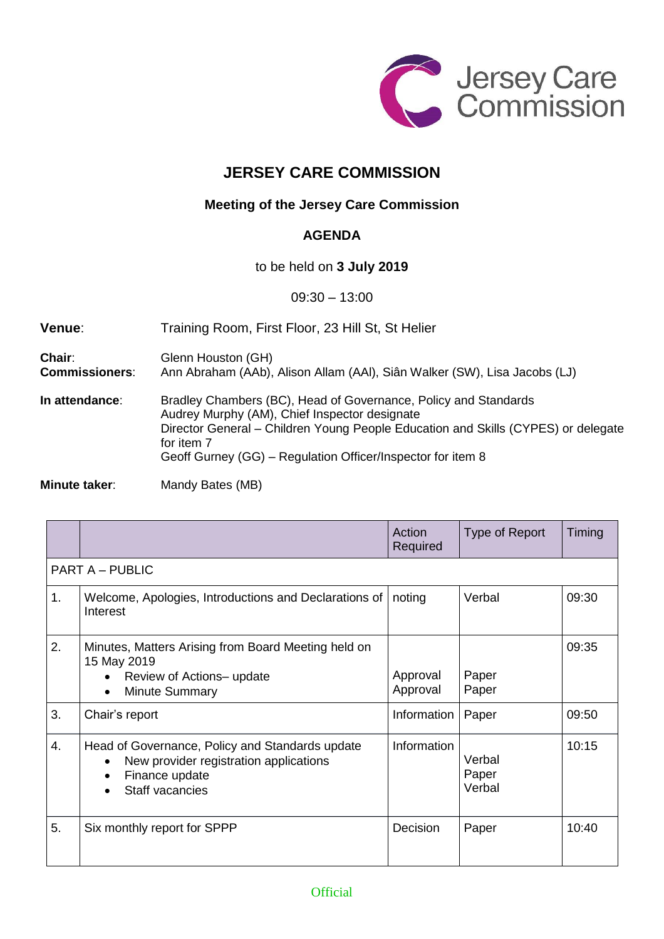

## **JERSEY CARE COMMISSION**

## **Meeting of the Jersey Care Commission**

## **AGENDA**

to be held on **3 July 2019**

09:30 – 13:00

| Venue:                          | Training Room, First Floor, 23 Hill St, St Helier                                                                                                                                                                                                                                  |
|---------------------------------|------------------------------------------------------------------------------------------------------------------------------------------------------------------------------------------------------------------------------------------------------------------------------------|
| Chair:<br><b>Commissioners:</b> | Glenn Houston (GH)<br>Ann Abraham (AAb), Alison Allam (AAI), Siân Walker (SW), Lisa Jacobs (LJ)                                                                                                                                                                                    |
| In attendance:                  | Bradley Chambers (BC), Head of Governance, Policy and Standards<br>Audrey Murphy (AM), Chief Inspector designate<br>Director General - Children Young People Education and Skills (CYPES) or delegate<br>for item 7<br>Geoff Gurney (GG) – Regulation Officer/Inspector for item 8 |
|                                 |                                                                                                                                                                                                                                                                                    |

**Minute taker:** Mandy Bates (MB)

|    |                                                                                                                                | Action<br>Required   | Type of Report            | Timing |  |  |  |
|----|--------------------------------------------------------------------------------------------------------------------------------|----------------------|---------------------------|--------|--|--|--|
|    | <b>PART A – PUBLIC</b>                                                                                                         |                      |                           |        |  |  |  |
| 1. | Welcome, Apologies, Introductions and Declarations of<br>Interest                                                              | noting               | Verbal                    | 09:30  |  |  |  |
| 2. | Minutes, Matters Arising from Board Meeting held on<br>15 May 2019<br>Review of Actions-update<br><b>Minute Summary</b>        | Approval<br>Approval | Paper<br>Paper            | 09:35  |  |  |  |
| 3. | Chair's report                                                                                                                 | Information          | Paper                     | 09:50  |  |  |  |
| 4. | Head of Governance, Policy and Standards update<br>New provider registration applications<br>Finance update<br>Staff vacancies | <b>Information</b>   | Verbal<br>Paper<br>Verbal | 10:15  |  |  |  |
| 5. | Six monthly report for SPPP                                                                                                    | Decision             | Paper                     | 10:40  |  |  |  |